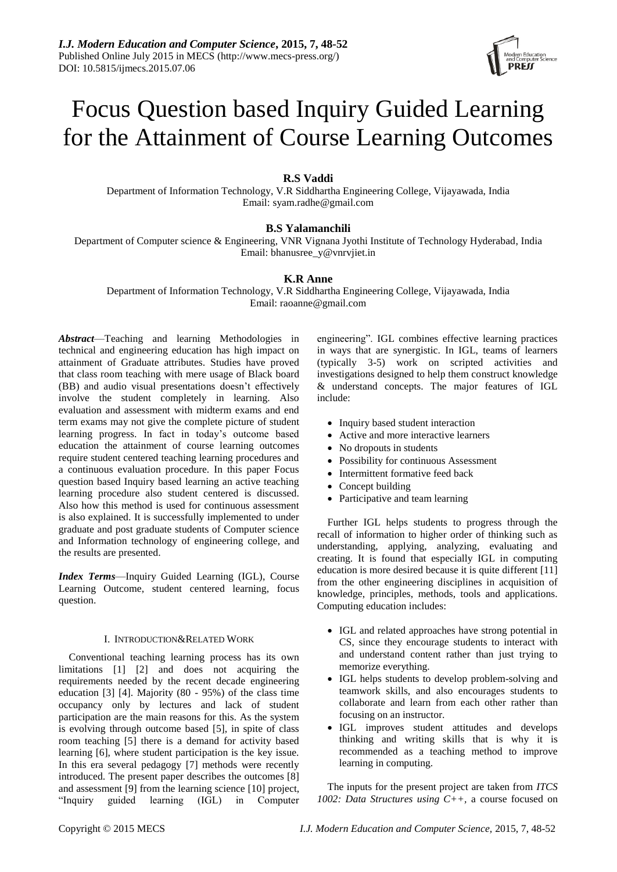# Focus Question based Inquiry Guided Learning for the Attainment of Course Learning Outcomes

# **R.S Vaddi**

Department of Information Technology, V.R Siddhartha Engineering College, Vijayawada, India Email: syam.radhe@gmail.com

# **B.S Yalamanchili**

Department of Computer science & Engineering, VNR Vignana Jyothi Institute of Technology Hyderabad, India Email: bhanusree\_y@vnrvjiet.in

# **K.R Anne**

Department of Information Technology, V.R Siddhartha Engineering College, Vijayawada, India Email: raoanne@gmail.com

*Abstract*—Teaching and learning Methodologies in technical and engineering education has high impact on attainment of Graduate attributes. Studies have proved that class room teaching with mere usage of Black board (BB) and audio visual presentations doesn't effectively involve the student completely in learning. Also evaluation and assessment with midterm exams and end term exams may not give the complete picture of student learning progress. In fact in today's outcome based education the attainment of course learning outcomes require student centered teaching learning procedures and a continuous evaluation procedure. In this paper Focus question based Inquiry based learning an active teaching learning procedure also student centered is discussed. Also how this method is used for continuous assessment is also explained. It is successfully implemented to under graduate and post graduate students of Computer science and Information technology of engineering college, and the results are presented.

*Index Terms*—Inquiry Guided Learning (IGL), Course Learning Outcome, student centered learning, focus question.

# I. INTRODUCTION&RELATED WORK

Conventional teaching learning process has its own limitations [1] [2] and does not acquiring the requirements needed by the recent decade engineering education [3] [4]. Majority (80 - 95%) of the class time occupancy only by lectures and lack of student participation are the main reasons for this. As the system is evolving through outcome based [5], in spite of class room teaching [5] there is a demand for activity based learning [6], where student participation is the key issue. In this era several pedagogy [7] methods were recently introduced. The present paper describes the outcomes [8] and assessment [9] from the learning science [10] project, "Inquiry guided learning (IGL) in Computer engineering". IGL combines effective learning practices in ways that are synergistic. In IGL, teams of learners (typically 3-5) work on scripted activities and investigations designed to help them construct knowledge & understand concepts. The major features of IGL include:

- Inquiry based student interaction
- Active and more interactive learners
- No dropouts in students
- Possibility for continuous Assessment
- Intermittent formative feed back
- Concept building
- Participative and team learning

Further IGL helps students to progress through the recall of information to higher order of thinking such as understanding, applying, analyzing, evaluating and creating. It is found that especially IGL in computing education is more desired because it is quite different [11] from the other engineering disciplines in acquisition of knowledge, principles, methods, tools and applications. Computing education includes:

- IGL and related approaches have strong potential in CS, since they encourage students to interact with and understand content rather than just trying to memorize everything.
- IGL helps students to develop problem-solving and teamwork skills, and also encourages students to collaborate and learn from each other rather than focusing on an instructor.
- IGL improves student attitudes and develops thinking and writing skills that is why it is recommended as a teaching method to improve learning in computing.

The inputs for the present project are taken from *ITCS 1002: Data Structures using C++,* a course focused on

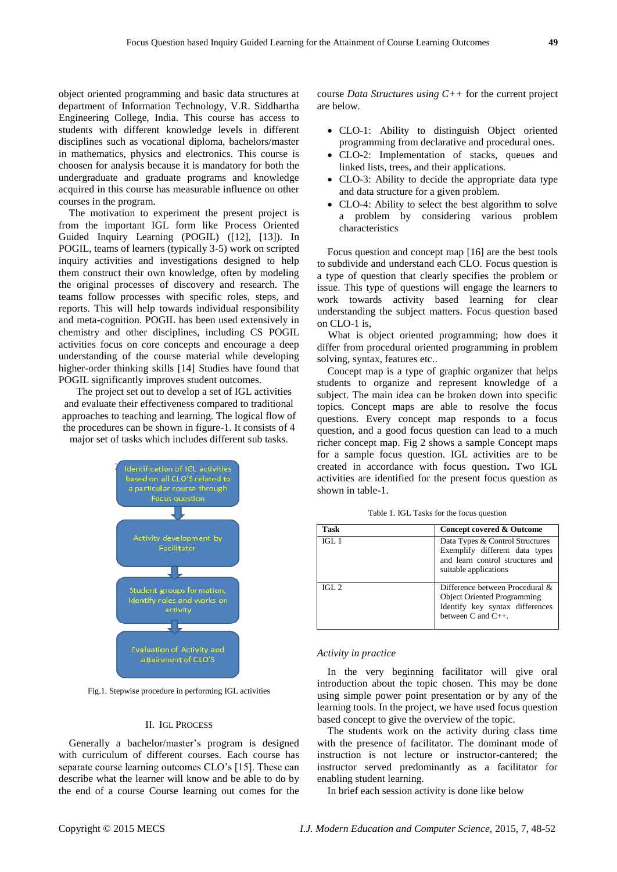object oriented programming and basic data structures at department of Information Technology, V.R. Siddhartha Engineering College, India. This course has access to students with different knowledge levels in different disciplines such as vocational diploma, bachelors/master in mathematics, physics and electronics. This course is choosen for analysis because it is mandatory for both the undergraduate and graduate programs and knowledge acquired in this course has measurable influence on other courses in the program.

The motivation to experiment the present project is from the important IGL form like Process Oriented Guided Inquiry Learning (POGIL) ([12], [13]). In POGIL, teams of learners (typically 3-5) work on scripted inquiry activities and investigations designed to help them construct their own knowledge, often by modeling the original processes of discovery and research. The teams follow processes with specific roles, steps, and reports. This will help towards individual responsibility and meta-cognition. POGIL has been used extensively in chemistry and other disciplines, including CS POGIL activities focus on core concepts and encourage a deep understanding of the course material while developing higher-order thinking skills [14] Studies have found that POGIL significantly improves student outcomes.

The project set out to develop a set of IGL activities and evaluate their effectiveness compared to traditional approaches to teaching and learning. The logical flow of the procedures can be shown in figure-1. It consists of 4 major set of tasks which includes different sub tasks.



Fig.1. Stepwise procedure in performing IGL activities

# II. IGL PROCESS

Generally a bachelor/master's program is designed with curriculum of different courses*.* Each course has separate course learning outcomes CLO's [15]. These can describe what the learner will know and be able to do by the end of a course Course learning out comes for the course *Data Structures using C++* for the current project are below.

- CLO-1: Ability to distinguish Object oriented programming from declarative and procedural ones.
- CLO-2: Implementation of stacks, queues and linked lists, trees, and their applications.
- CLO-3: Ability to decide the appropriate data type and data structure for a given problem.
- CLO-4: Ability to select the best algorithm to solve a problem by considering various problem characteristics

Focus question and concept map [16] are the best tools to subdivide and understand each CLO. Focus question is a type of question that clearly specifies the problem or issue. This type of questions will engage the learners to work towards activity based learning for clear understanding the subject matters. Focus question based on CLO-1 is,

What is object oriented programming; how does it differ from procedural oriented programming in problem solving, syntax, features etc..

Concept map is a type of graphic organizer that helps students to organize and represent knowledge of a subject. The main idea can be broken down into specific topics. Concept maps are able to resolve the focus questions. Every concept map responds to a focus question, and a good focus question can lead to a much richer concept map. Fig 2 shows a sample Concept maps for a sample focus question. IGL activities are to be created in accordance with focus question**.** Two IGL activities are identified for the present focus question as shown in table-1.

Table 1. IGL Tasks for the focus question

| Task    | Concept covered & Outcome                                                                                                              |
|---------|----------------------------------------------------------------------------------------------------------------------------------------|
| IGL1    | Data Types & Control Structures<br>Exemplify different data types<br>and learn control structures and<br>suitable applications         |
| IGL $2$ | Difference between Procedural &<br><b>Object Oriented Programming</b><br>Identify key syntax differences<br>between $C$ and $C_{++}$ . |

## *Activity in practice*

In the very beginning facilitator will give oral introduction about the topic chosen. This may be done using simple power point presentation or by any of the learning tools. In the project, we have used focus question based concept to give the overview of the topic.

The students work on the activity during class time with the presence of facilitator. The dominant mode of instruction is not lecture or instructor-cantered; the instructor served predominantly as a facilitator for enabling student learning.

In brief each session activity is done like below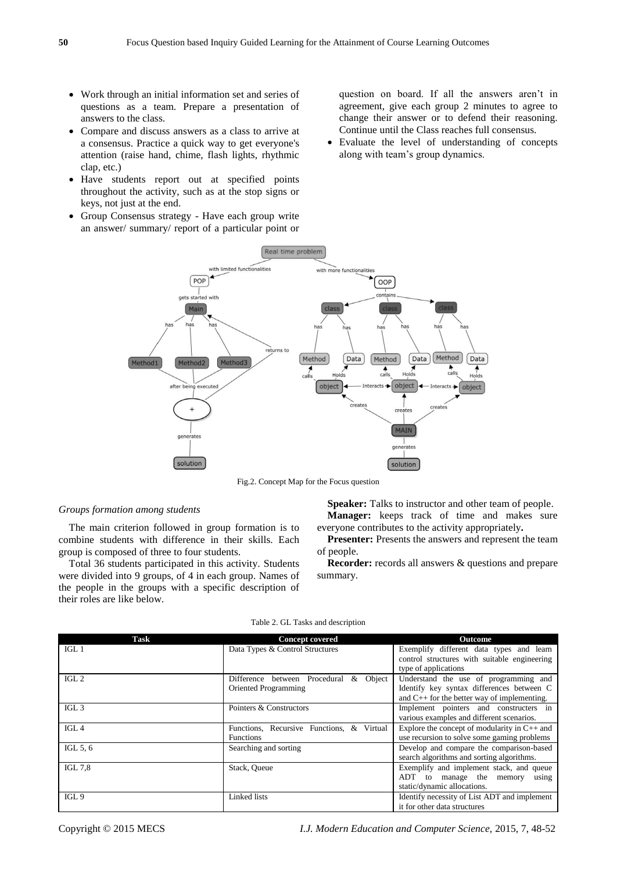- Work through an initial information set and series of questions as a team. Prepare a presentation of answers to the class.
- Compare and discuss answers as a class to arrive at a consensus. Practice a quick way to get everyone's attention (raise hand, chime, flash lights, rhythmic clap, etc.)
- Have students report out at specified points throughout the activity, such as at the stop signs or keys, not just at the end.
- Group Consensus strategy Have each group write an answer/ summary/ report of a particular point or

question on board. If all the answers aren't in agreement, give each group 2 minutes to agree to change their answer or to defend their reasoning. Continue until the Class reaches full consensus.

 Evaluate the level of understanding of concepts along with team's group dynamics.



Fig.2. Concept Map for the Focus question

# *Groups formation among students*

The main criterion followed in group formation is to combine students with difference in their skills. Each group is composed of three to four students.

Total 36 students participated in this activity. Students were divided into 9 groups, of 4 in each group. Names of the people in the groups with a specific description of their roles are like below.

Speaker: Talks to instructor and other team of people. **Manager:** keeps track of time and makes sure everyone contributes to the activity appropriately**.**

**Presenter:** Presents the answers and represent the team of people.

**Recorder:** records all answers & questions and prepare summary.

| Task             | <b>Concept covered</b>                          | <b>Outcome</b>                                   |
|------------------|-------------------------------------------------|--------------------------------------------------|
| IGL <sub>1</sub> | Data Types & Control Structures                 | Exemplify different data types and learn         |
|                  |                                                 | control structures with suitable engineering     |
|                  |                                                 | type of applications                             |
| IGL <sub>2</sub> | Difference between Procedural<br>Object<br>$\&$ | Understand the use of programming and            |
|                  | Oriented Programming                            | Identify key syntax differences between C        |
|                  |                                                 | and $C_{++}$ for the better way of implementing. |
| IGL <sub>3</sub> | Pointers & Constructors                         | Implement pointers and constructers in           |
|                  |                                                 | various examples and different scenarios.        |
| IGL <sub>4</sub> | Functions, Recursive Functions, & Virtual       | Explore the concept of modularity in $C++$ and   |
|                  | <b>Functions</b>                                | use recursion to solve some gaming problems      |
| IGL $5, 6$       | Searching and sorting                           | Develop and compare the comparison-based         |
|                  |                                                 | search algorithms and sorting algorithms.        |
| <b>IGL 7.8</b>   | Stack, Queue                                    | Exemplify and implement stack, and queue         |
|                  |                                                 | ADT to manage the memory<br>using                |
|                  |                                                 | static/dynamic allocations.                      |
| IGL <sub>9</sub> | Linked lists                                    | Identify necessity of List ADT and implement     |
|                  |                                                 | it for other data structures                     |

#### Table 2. GL Tasks and description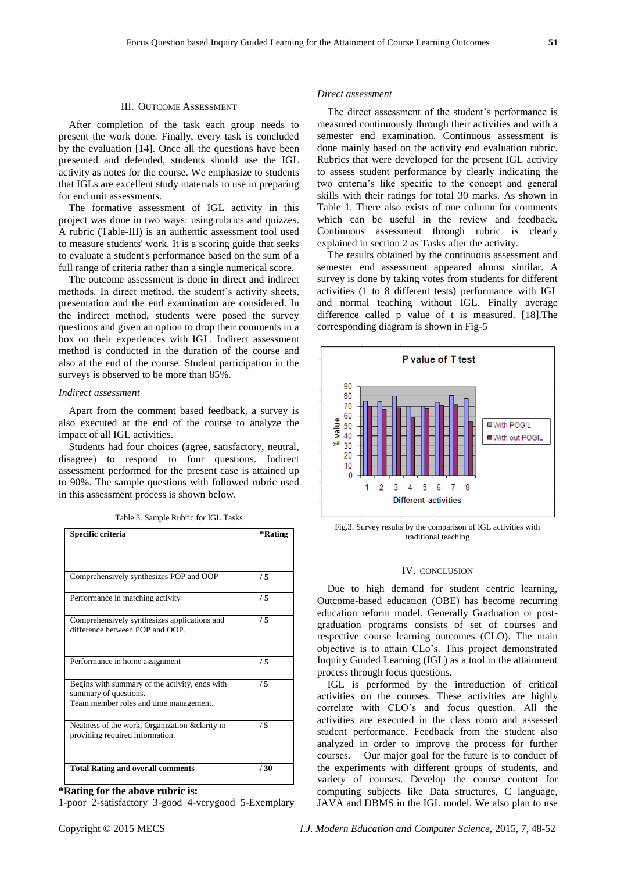## III. OUTCOME ASSESSMENT

After completion of the task each group needs to present the work done. Finally, every task is concluded by the evaluation [14]. Once all the questions have been presented and defended, students should use the IGL activity as notes for the course. We emphasize to students that IGLs are excellent study materials to use in preparing for end unit assessments.

The formative assessment of IGL activity in this project was done in two ways: using rubrics and quizzes. A rubric (Table-III) is an authentic assessment tool used to measure students' work. It is a scoring guide that seeks to evaluate a student's performance based on the sum of a full range of criteria rather than a single numerical score.

The outcome assessment is done in direct and indirect methods. In direct method, the student's activity sheets, presentation and the end examination are considered. In the indirect method, students were posed the survey questions and given an option to drop their comments in a box on their experiences with IGL. Indirect assessment method is conducted in the duration of the course and also at the end of the course. Student participation in the surveys is observed to be more than 85%.

## *Indirect assessment*

Apart from the comment based feedback, a survey is also executed at the end of the course to analyze the impact of all IGL activities.

Students had four choices (agree, satisfactory, neutral, disagree) to respond to four questions. Indirect assessment performed for the present case is attained up to 90%. The sample questions with followed rubric used in this assessment process is shown below.

| Table 3. Sample Rubric for IGL Tasks |
|--------------------------------------|
|--------------------------------------|

| Specific criteria                                                                                                 | *Rating |
|-------------------------------------------------------------------------------------------------------------------|---------|
|                                                                                                                   |         |
| Comprehensively synthesizes POP and OOP                                                                           | /5      |
| Performance in matching activity                                                                                  | /5      |
| Comprehensively synthesizes applications and<br>difference between POP and OOP.                                   | /5      |
| Performance in home assignment                                                                                    | /5      |
| Begins with summary of the activity, ends with<br>summary of questions.<br>Team member roles and time management. | /5      |
| Neatness of the work, Organization &clarity in<br>providing required information.                                 | /5      |
| <b>Total Rating and overall comments</b>                                                                          | 730     |

# **\*Rating for the above rubric is:**

1-poor 2-satisfactory 3-good 4-verygood 5-Exemplary

## *Direct assessment*

The direct assessment of the student's performance is measured continuously through their activities and with a semester end examination. Continuous assessment is done mainly based on the activity end evaluation rubric. Rubrics that were developed for the present IGL activity to assess student performance by clearly indicating the two criteria's like specific to the concept and general skills with their ratings for total 30 marks. As shown in Table 1. There also exists of one column for comments which can be useful in the review and feedback. Continuous assessment through rubric is clearly explained in section 2 as Tasks after the activity.

The results obtained by the continuous assessment and semester end assessment appeared almost similar. A survey is done by taking votes from students for different activities (1 to 8 different tests) performance with IGL and normal teaching without IGL. Finally average difference called p value of t is measured. [18].The corresponding diagram is shown in Fig-5



Fig.3. Survey results by the comparison of IGL activities with traditional teaching

## IV. CONCLUSION

Due to high demand for student centric learning, Outcome-based education (OBE) has become recurring education reform model. Generally Graduation or postgraduation programs consists of set of courses and respective course learning outcomes (CLO). The main objective is to attain CLo's. This project demonstrated Inquiry Guided Learning (IGL) as a tool in the attainment process through focus questions.

IGL is performed by the introduction of critical activities on the courses. These activities are highly correlate with CLO's and focus question. All the activities are executed in the class room and assessed student performance. Feedback from the student also analyzed in order to improve the process for further courses. Our major goal for the future is to conduct of the experiments with different groups of students, and variety of courses. Develop the course content for computing subjects like Data structures, C language, JAVA and DBMS in the IGL model. We also plan to use